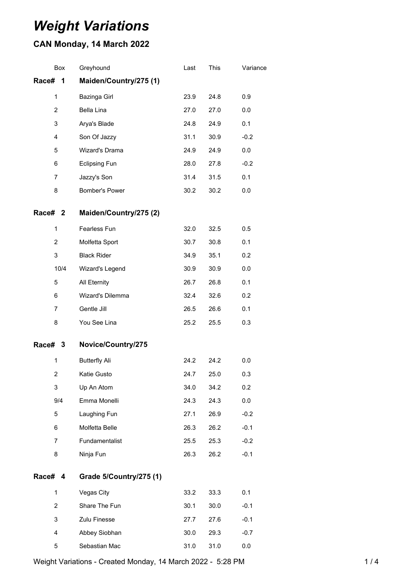# *Weight Variations*

## **CAN Monday, 14 March 2022**

| Box            | Greyhound               | Last | This | Variance |
|----------------|-------------------------|------|------|----------|
| Race#<br>1     | Maiden/Country/275 (1)  |      |      |          |
| 1              | Bazinga Girl            | 23.9 | 24.8 | 0.9      |
| 2              | Bella Lina              | 27.0 | 27.0 | 0.0      |
| 3              | Arya's Blade            | 24.8 | 24.9 | 0.1      |
| 4              | Son Of Jazzy            | 31.1 | 30.9 | $-0.2$   |
| 5              | Wizard's Drama          | 24.9 | 24.9 | 0.0      |
| 6              | <b>Eclipsing Fun</b>    | 28.0 | 27.8 | $-0.2$   |
| 7              | Jazzy's Son             | 31.4 | 31.5 | 0.1      |
| 8              | Bomber's Power          | 30.2 | 30.2 | 0.0      |
| Race# 2        | Maiden/Country/275 (2)  |      |      |          |
| $\mathbf{1}$   | Fearless Fun            | 32.0 | 32.5 | 0.5      |
| $\overline{2}$ | Molfetta Sport          | 30.7 | 30.8 | 0.1      |
| 3              | <b>Black Rider</b>      | 34.9 | 35.1 | 0.2      |
| 10/4           | Wizard's Legend         | 30.9 | 30.9 | 0.0      |
| 5              | All Eternity            | 26.7 | 26.8 | 0.1      |
| 6              | Wizard's Dilemma        | 32.4 | 32.6 | 0.2      |
| 7              | Gentle Jill             | 26.5 | 26.6 | 0.1      |
| 8              | You See Lina            | 25.2 | 25.5 | 0.3      |
| Race# 3        | Novice/Country/275      |      |      |          |
| $\mathbf{1}$   | <b>Butterfly Ali</b>    | 24.2 | 24.2 | 0.0      |
| $\overline{2}$ | Katie Gusto             | 24.7 | 25.0 | 0.3      |
| 3              | Up An Atom              | 34.0 | 34.2 | 0.2      |
| 9/4            | Emma Monelli            | 24.3 | 24.3 | 0.0      |
| 5              | Laughing Fun            | 27.1 | 26.9 | $-0.2$   |
| 6              | Molfetta Belle          | 26.3 | 26.2 | $-0.1$   |
| $\overline{7}$ | Fundamentalist          | 25.5 | 25.3 | $-0.2$   |
| 8              | Ninja Fun               | 26.3 | 26.2 | $-0.1$   |
| Race# 4        | Grade 5/Country/275 (1) |      |      |          |
| 1              | Vegas City              | 33.2 | 33.3 | 0.1      |
| $\overline{2}$ | Share The Fun           | 30.1 | 30.0 | $-0.1$   |
| 3              | Zulu Finesse            | 27.7 | 27.6 | $-0.1$   |
| 4              | Abbey Siobhan           | 30.0 | 29.3 | $-0.7$   |
| 5              | Sebastian Mac           | 31.0 | 31.0 | 0.0      |

Weight Variations - Created Monday, 14 March 2022 - 5:28 PM 1/4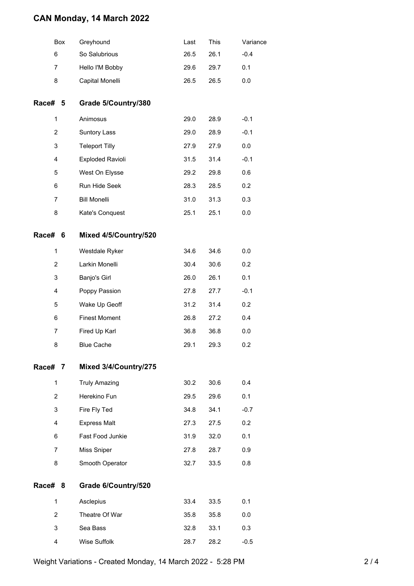### **CAN Monday, 14 March 2022**

|                | Box | Greyhound               | Last | This | Variance |
|----------------|-----|-------------------------|------|------|----------|
| 6              |     | So Salubrious           | 26.5 | 26.1 | $-0.4$   |
| 7              |     | Hello I'M Bobby         | 29.6 | 29.7 | 0.1      |
| 8              |     | Capital Monelli         | 26.5 | 26.5 | 0.0      |
| Race# 5        |     | Grade 5/Country/380     |      |      |          |
| 1              |     | Animosus                | 29.0 | 28.9 | $-0.1$   |
| 2              |     | <b>Suntory Lass</b>     | 29.0 | 28.9 | $-0.1$   |
| 3              |     | <b>Teleport Tilly</b>   | 27.9 | 27.9 | 0.0      |
| 4              |     | <b>Exploded Ravioli</b> | 31.5 | 31.4 | $-0.1$   |
| 5              |     | West On Elysse          | 29.2 | 29.8 | 0.6      |
| 6              |     | Run Hide Seek           | 28.3 | 28.5 | 0.2      |
| 7              |     | <b>Bill Monelli</b>     | 31.0 | 31.3 | 0.3      |
| 8              |     | Kate's Conquest         | 25.1 | 25.1 | 0.0      |
| Race# 6        |     | Mixed 4/5/Country/520   |      |      |          |
| $\mathbf{1}$   |     | Westdale Ryker          | 34.6 | 34.6 | 0.0      |
| $\overline{c}$ |     | Larkin Monelli          | 30.4 | 30.6 | 0.2      |
| 3              |     | Banjo's Girl            | 26.0 | 26.1 | 0.1      |
| 4              |     | Poppy Passion           | 27.8 | 27.7 | $-0.1$   |
| 5              |     | Wake Up Geoff           | 31.2 | 31.4 | 0.2      |
| 6              |     | <b>Finest Moment</b>    | 26.8 | 27.2 | 0.4      |
| 7              |     | Fired Up Karl           | 36.8 | 36.8 | 0.0      |
| 8              |     | <b>Blue Cache</b>       | 29.1 | 29.3 | 0.2      |
| Race# 7        |     | Mixed 3/4/Country/275   |      |      |          |
| $\mathbf{1}$   |     | <b>Truly Amazing</b>    | 30.2 | 30.6 | 0.4      |
| $\overline{2}$ |     | Herekino Fun            | 29.5 | 29.6 | 0.1      |
| 3              |     | Fire Fly Ted            | 34.8 | 34.1 | $-0.7$   |
| 4              |     | <b>Express Malt</b>     | 27.3 | 27.5 | 0.2      |
| 6              |     | Fast Food Junkie        | 31.9 | 32.0 | 0.1      |
| $\overline{7}$ |     | Miss Sniper             | 27.8 | 28.7 | 0.9      |
| 8              |     | Smooth Operator         | 32.7 | 33.5 | 0.8      |
| Race#          | 8   | Grade 6/Country/520     |      |      |          |
| $\mathbf{1}$   |     | Asclepius               | 33.4 | 33.5 | 0.1      |
| $\overline{2}$ |     | Theatre Of War          | 35.8 | 35.8 | 0.0      |
| 3              |     | Sea Bass                | 32.8 | 33.1 | 0.3      |
| 4              |     | Wise Suffolk            | 28.7 | 28.2 | $-0.5$   |

Weight Variations - Created Monday, 14 March 2022 - 5:28 PM 2 / 4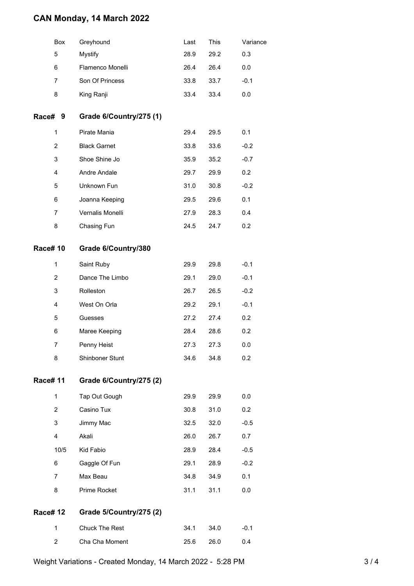### **CAN Monday, 14 March 2022**

|                | Box            | Greyhound               | Last | This | Variance |
|----------------|----------------|-------------------------|------|------|----------|
|                | 5              | <b>Mystify</b>          | 28.9 | 29.2 | 0.3      |
|                | 6              | Flamenco Monelli        | 26.4 | 26.4 | 0.0      |
|                | $\overline{7}$ | Son Of Princess         | 33.8 | 33.7 | $-0.1$   |
|                | 8              | King Ranji              | 33.4 | 33.4 | 0.0      |
|                | Race# 9        | Grade 6/Country/275 (1) |      |      |          |
|                | $\mathbf{1}$   | Pirate Mania            | 29.4 | 29.5 | 0.1      |
|                | $\overline{2}$ | <b>Black Garnet</b>     | 33.8 | 33.6 | $-0.2$   |
|                | 3              | Shoe Shine Jo           | 35.9 | 35.2 | $-0.7$   |
|                | 4              | Andre Andale            | 29.7 | 29.9 | 0.2      |
|                | 5              | Unknown Fun             | 31.0 | 30.8 | $-0.2$   |
|                | 6              | Joanna Keeping          | 29.5 | 29.6 | 0.1      |
|                | 7              | Vernalis Monelli        | 27.9 | 28.3 | 0.4      |
|                | 8              | Chasing Fun             | 24.5 | 24.7 | 0.2      |
|                | <b>Race#10</b> | Grade 6/Country/380     |      |      |          |
|                | $\mathbf{1}$   | Saint Ruby              | 29.9 | 29.8 | $-0.1$   |
|                | 2              | Dance The Limbo         | 29.1 | 29.0 | $-0.1$   |
|                | 3              | Rolleston               | 26.7 | 26.5 | $-0.2$   |
|                | 4              | West On Orla            | 29.2 | 29.1 | $-0.1$   |
|                | 5              | Guesses                 | 27.2 | 27.4 | 0.2      |
|                | 6              | Maree Keeping           | 28.4 | 28.6 | 0.2      |
|                | 7              | Penny Heist             | 27.3 | 27.3 | 0.0      |
|                | 8              | Shinboner Stunt         | 34.6 | 34.8 | 0.2      |
|                | <b>Race#11</b> | Grade 6/Country/275 (2) |      |      |          |
|                | 1              | Tap Out Gough           | 29.9 | 29.9 | 0.0      |
|                | $\overline{2}$ | Casino Tux              | 30.8 | 31.0 | 0.2      |
|                | 3              | Jimmy Mac               | 32.5 | 32.0 | $-0.5$   |
|                | 4              | Akali                   | 26.0 | 26.7 | 0.7      |
|                | 10/5           | Kid Fabio               | 28.9 | 28.4 | $-0.5$   |
|                | 6              | Gaggle Of Fun           | 29.1 | 28.9 | $-0.2$   |
|                | 7              | Max Beau                | 34.8 | 34.9 | 0.1      |
|                | 8              | Prime Rocket            | 31.1 | 31.1 | 0.0      |
| <b>Race#12</b> |                | Grade 5/Country/275 (2) |      |      |          |
|                | 1              | Chuck The Rest          | 34.1 | 34.0 | $-0.1$   |
|                | 2              | Cha Cha Moment          | 25.6 | 26.0 | 0.4      |
|                |                |                         |      |      |          |

Weight Variations - Created Monday, 14 March 2022 - 5:28 PM 3/4